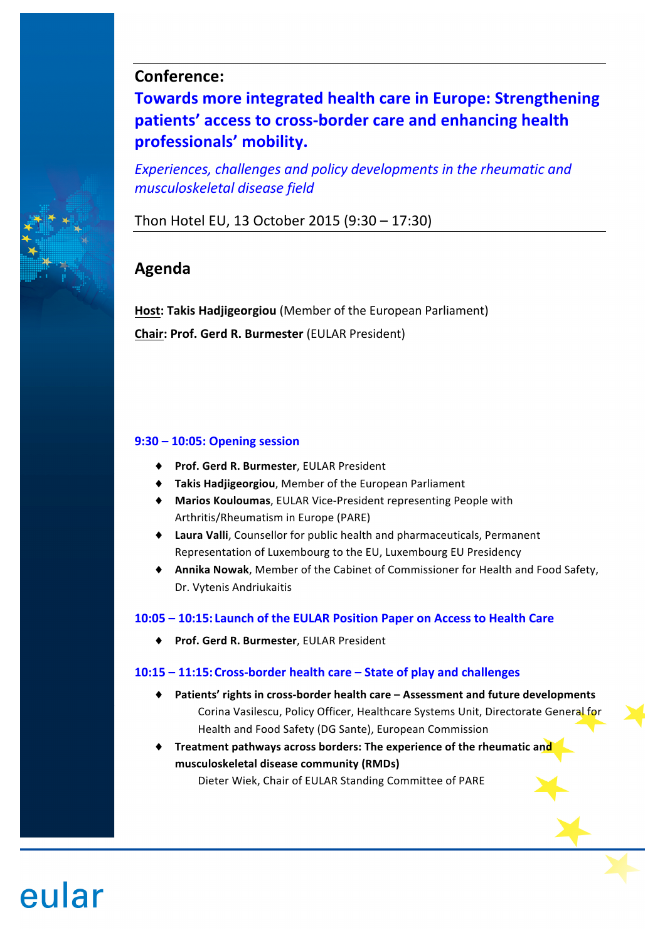# **Conference:**

**Towards more integrated health care in Europe: Strengthening** patients' access to cross-border care and enhancing health **professionals' mobility.** 

Experiences, challenges and policy developments in the rheumatic and *musculoskeletal disease field*

Thon Hotel EU, 13 October 2015 (9:30 – 17:30)

# **Agenda**

eular

**Host: Takis Hadjigeorgiou** (Member of the European Parliament) **Chair: Prof. Gerd R. Burmester (EULAR President)** 

# **9:30 – 10:05: Opening session**

- ♦ **[Prof. Gerd R. Burmester](https://youtu.be/p7vvlbdmLZk)**, EULAR President
- $\blacklozenge$  **Takis Hadjigeorgiou**, Member of the European Parliament
- $\blacklozenge$  **Marios Kouloumas**, EULAR Vice-President representing People with Arthritis/Rheumatism in Europe (PARE)
- $\bullet$  Laura Valli, Counsellor for public health and pharmaceuticals, Permanent Representation of Luxembourg to the EU, Luxembourg EU Presidency
- ◆ **Annika Nowak**, Member of the Cabinet of Commissioner for Health and Food Safety, Dr. Vytenis Andriukaitis

# 10:05 – 10:15: Launch of the EULAR Position Paper on Access to Health Care

♦ **[Prof. Gerd R. Burmester](https://youtu.be/phcTGsMgNrY)**, EULAR President

# 10:15 - 11:15: Cross-border health care - State of play and challenges

- ◆ Patients' rights in cross-border health care Assessment and future developments Corina Vasilescu, Policy Officer, Healthcare Systems Unit, Directorate General for Health and Food Safety (DG Sante), European Commission
- **Treatment pathways across borders: The experience of the rheumatic and musculoskeletal disease community (RMDs)** Dieter Wiek, Chair of EULAR Standing Committee of PARE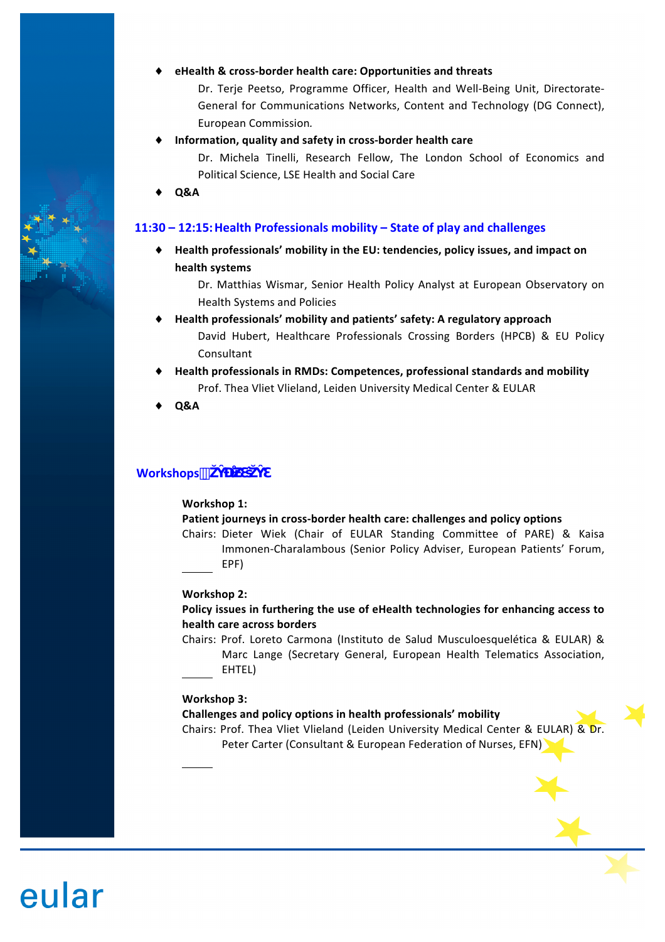#### eHealth & cross-border health care: Opportunities and threats

Dr. Terje Peetso, Programme Officer, Health and Well-Being Unit, Directorate-General for Communications Networks, Content and Technology (DG Connect), European Commission*.*

Information, quality and safety in cross-border health care

Dr. Michela Tinelli, Research Fellow, The London School of Economics and Political Science, LSE Health and Social Care

♦ **[Q&A](https://youtu.be/rzNueh0yTT4)**

## **11:30 – 12:15: Health Professionals mobility – State of play and challenges**

 $\blacklozenge$  Health professionals' mobility in the EU: tendencies, policy issues, and impact on **health systems**

Dr. Matthias Wismar, Senior Health Policy Analyst at European Observatory on Health Systems and Policies

- Health professionals' mobility and patients' safety: A regulatory approach David Hubert, Healthcare Professionals Crossing Borders (HPCB) & EU Policy Consultant
- **Health professionals in RMDs: Competences, professional standards and mobility** Prof. Thea Vliet Vlieland, Leiden University Medical Center & EULAR
- ♦ **[Q&A](https://youtu.be/3HYJlA-GxNU)**

# **Workshops**  $\#$

#### **Workshop 1:**

## Patient journeys in cross-border health care: challenges and policy options

Chairs: Dieter Wiek (Chair of EULAR Standing Committee of PARE) & Kaisa Immonen-Charalambous (Senior Policy Adviser, European Patients' Forum, EPF)

## **Workshop 2:**

## Policy issues in furthering the use of eHealth technologies for enhancing access to **health care across borders**

Chairs: Prof. Loreto Carmona (Instituto de Salud Musculoesquelética & EULAR) & Marc Lange (Secretary General, European Health Telematics Association, EHTEL)

#### **Workshop 3:**

eular

## Challenges and policy options in health professionals' mobility

Chairs: Prof. Thea Vliet Vlieland (Leiden University Medical Center & EULAR) & Dr. Peter Carter (Consultant & European Federation of Nurses, EFN)